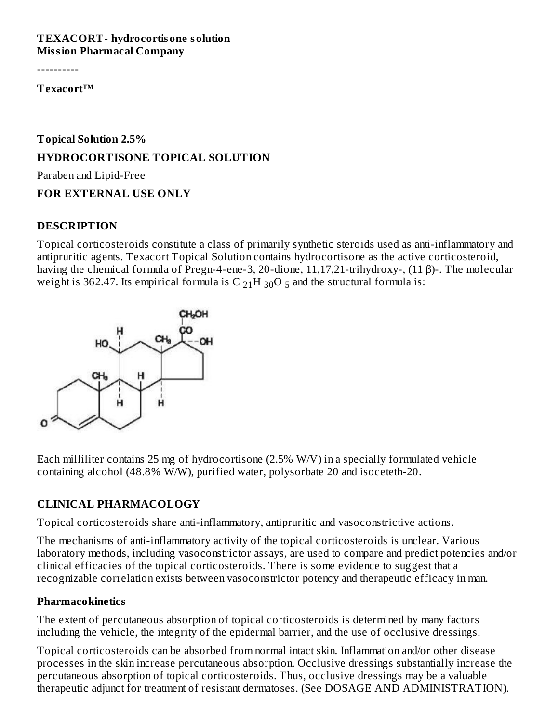#### **TEXACORT- hydrocortisone solution Mission Pharmacal Company**

----------

#### **Texacort™**

## **Topical Solution 2.5% HYDROCORTISONE TOPICAL SOLUTION** Paraben and Lipid-Free

#### **FOR EXTERNAL USE ONLY**

#### **DESCRIPTION**

Topical corticosteroids constitute a class of primarily synthetic steroids used as anti-inflammatory and antipruritic agents. Texacort Topical Solution contains hydrocortisone as the active corticosteroid, having the chemical formula of Pregn-4-ene-3, 20-dione, 11,17,21-trihydroxy-, (11 β)-. The molecular weight is 362.47. Its empirical formula is C  $_{21}$ H  $_{30}$ O  $_5$  and the structural formula is:



Each milliliter contains 25 mg of hydrocortisone (2.5% W/V) in a specially formulated vehicle containing alcohol (48.8% W/W), purified water, polysorbate 20 and isoceteth-20.

#### **CLINICAL PHARMACOLOGY**

Topical corticosteroids share anti-inflammatory, antipruritic and vasoconstrictive actions.

The mechanisms of anti-inflammatory activity of the topical corticosteroids is unclear. Various laboratory methods, including vasoconstrictor assays, are used to compare and predict potencies and/or clinical efficacies of the topical corticosteroids. There is some evidence to suggest that a recognizable correlation exists between vasoconstrictor potency and therapeutic efficacy in man.

#### **Pharmacokinetics**

The extent of percutaneous absorption of topical corticosteroids is determined by many factors including the vehicle, the integrity of the epidermal barrier, and the use of occlusive dressings.

Topical corticosteroids can be absorbed from normal intact skin. Inflammation and/or other disease processes in the skin increase percutaneous absorption. Occlusive dressings substantially increase the percutaneous absorption of topical corticosteroids. Thus, occlusive dressings may be a valuable therapeutic adjunct for treatment of resistant dermatoses. (See DOSAGE AND ADMINISTRATION).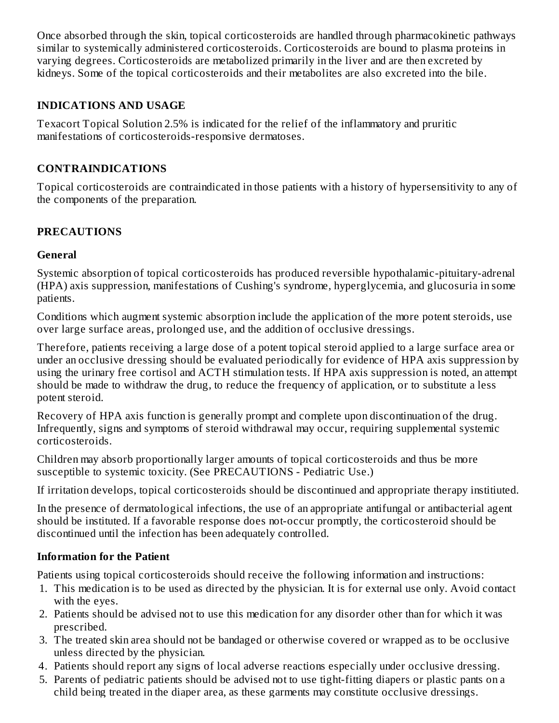Once absorbed through the skin, topical corticosteroids are handled through pharmacokinetic pathways similar to systemically administered corticosteroids. Corticosteroids are bound to plasma proteins in varying degrees. Corticosteroids are metabolized primarily in the liver and are then excreted by kidneys. Some of the topical corticosteroids and their metabolites are also excreted into the bile.

### **INDICATIONS AND USAGE**

Texacort Topical Solution 2.5% is indicated for the relief of the inflammatory and pruritic manifestations of corticosteroids-responsive dermatoses.

### **CONTRAINDICATIONS**

Topical corticosteroids are contraindicated in those patients with a history of hypersensitivity to any of the components of the preparation.

### **PRECAUTIONS**

### **General**

Systemic absorption of topical corticosteroids has produced reversible hypothalamic-pituitary-adrenal (HPA) axis suppression, manifestations of Cushing's syndrome, hyperglycemia, and glucosuria in some patients.

Conditions which augment systemic absorption include the application of the more potent steroids, use over large surface areas, prolonged use, and the addition of occlusive dressings.

Therefore, patients receiving a large dose of a potent topical steroid applied to a large surface area or under an occlusive dressing should be evaluated periodically for evidence of HPA axis suppression by using the urinary free cortisol and ACTH stimulation tests. If HPA axis suppression is noted, an attempt should be made to withdraw the drug, to reduce the frequency of application, or to substitute a less potent steroid.

Recovery of HPA axis function is generally prompt and complete upon discontinuation of the drug. Infrequently, signs and symptoms of steroid withdrawal may occur, requiring supplemental systemic corticosteroids.

Children may absorb proportionally larger amounts of topical corticosteroids and thus be more susceptible to systemic toxicity. (See PRECAUTIONS - Pediatric Use.)

If irritation develops, topical corticosteroids should be discontinued and appropriate therapy institiuted.

In the presence of dermatological infections, the use of an appropriate antifungal or antibacterial agent should be instituted. If a favorable response does not-occur promptly, the corticosteroid should be discontinued until the infection has been adequately controlled.

## **Information for the Patient**

Patients using topical corticosteroids should receive the following information and instructions:

- 1. This medication is to be used as directed by the physician. It is for external use only. Avoid contact with the eyes.
- 2. Patients should be advised not to use this medication for any disorder other than for which it was prescribed.
- 3. The treated skin area should not be bandaged or otherwise covered or wrapped as to be occlusive unless directed by the physician.
- 4. Patients should report any signs of local adverse reactions especially under occlusive dressing.
- 5. Parents of pediatric patients should be advised not to use tight-fitting diapers or plastic pants on a child being treated in the diaper area, as these garments may constitute occlusive dressings.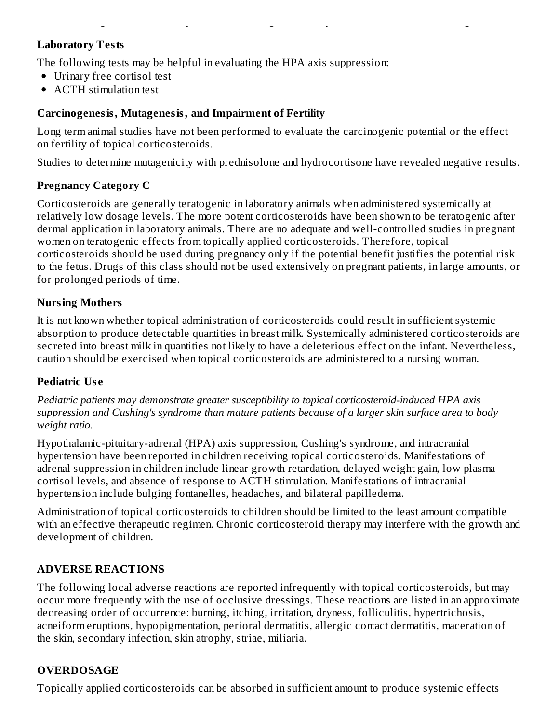### **Laboratory Tests**

The following tests may be helpful in evaluating the HPA axis suppression:

- Urinary free cortisol test
- ACTH stimulation test

#### **Carcinogenesis, Mutagenesis, and Impairment of Fertility**

Long term animal studies have not been performed to evaluate the carcinogenic potential or the effect on fertility of topical corticosteroids.

child being treated in the diaper area, as these garments may constitute occlusive dressings.

Studies to determine mutagenicity with prednisolone and hydrocortisone have revealed negative results.

### **Pregnancy Category C**

Corticosteroids are generally teratogenic in laboratory animals when administered systemically at relatively low dosage levels. The more potent corticosteroids have been shown to be teratogenic after dermal application in laboratory animals. There are no adequate and well-controlled studies in pregnant women on teratogenic effects from topically applied corticosteroids. Therefore, topical corticosteroids should be used during pregnancy only if the potential benefit justifies the potential risk to the fetus. Drugs of this class should not be used extensively on pregnant patients, in large amounts, or for prolonged periods of time.

### **Nursing Mothers**

It is not known whether topical administration of corticosteroids could result in sufficient systemic absorption to produce detectable quantities in breast milk. Systemically administered corticosteroids are secreted into breast milk in quantities not likely to have a deleterious effect on the infant. Nevertheless, caution should be exercised when topical corticosteroids are administered to a nursing woman.

## **Pediatric Us e**

*Pediatric patients may demonstrate greater susceptibility to topical corticosteroid-induced HPA axis suppression and Cushing's syndrome than mature patients because of a larger skin surface area to body weight ratio.*

Hypothalamic-pituitary-adrenal (HPA) axis suppression, Cushing's syndrome, and intracranial hypertension have been reported in children receiving topical corticosteroids. Manifestations of adrenal suppression in children include linear growth retardation, delayed weight gain, low plasma cortisol levels, and absence of response to ACTH stimulation. Manifestations of intracranial hypertension include bulging fontanelles, headaches, and bilateral papilledema.

Administration of topical corticosteroids to children should be limited to the least amount compatible with an effective therapeutic regimen. Chronic corticosteroid therapy may interfere with the growth and development of children.

## **ADVERSE REACTIONS**

The following local adverse reactions are reported infrequently with topical corticosteroids, but may occur more frequently with the use of occlusive dressings. These reactions are listed in an approximate decreasing order of occurrence: burning, itching, irritation, dryness, folliculitis, hypertrichosis, acneiform eruptions, hypopigmentation, perioral dermatitis, allergic contact dermatitis, maceration of the skin, secondary infection, skin atrophy, striae, miliaria.

## **OVERDOSAGE**

Topically applied corticosteroids can be absorbed in sufficient amount to produce systemic effects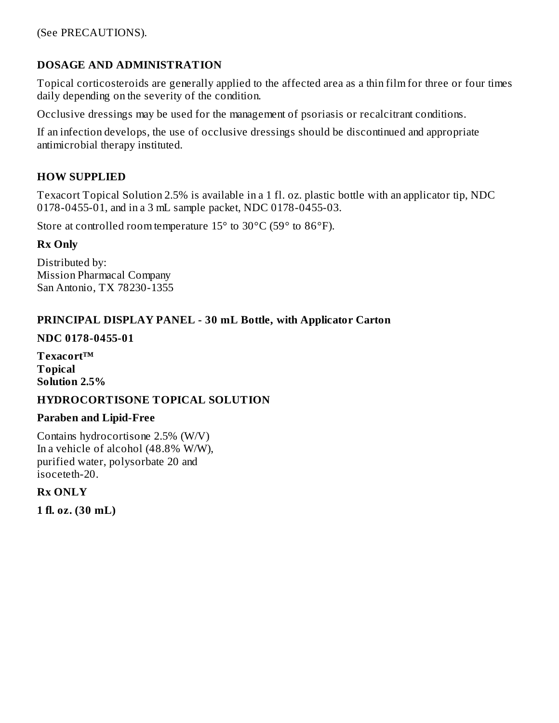### **DOSAGE AND ADMINISTRATION**

Topical corticosteroids are generally applied to the affected area as a thin film for three or four times daily depending on the severity of the condition.

Occlusive dressings may be used for the management of psoriasis or recalcitrant conditions.

If an infection develops, the use of occlusive dressings should be discontinued and appropriate antimicrobial therapy instituted.

#### **HOW SUPPLIED**

Texacort Topical Solution 2.5% is available in a 1 fl. oz. plastic bottle with an applicator tip, NDC 0178-0455-01, and in a 3 mL sample packet, NDC 0178-0455-03.

Store at controlled room temperature 15° to 30°C (59° to 86°F).

#### **Rx Only**

Distributed by: Mission Pharmacal Company San Antonio, TX 78230-1355

#### **PRINCIPAL DISPLAY PANEL - 30 mL Bottle, with Applicator Carton**

**NDC 0178-0455-01**

**Texacort™ Topical Solution 2.5%**

#### **HYDROCORTISONE TOPICAL SOLUTION**

#### **Paraben and Lipid-Free**

Contains hydrocortisone 2.5% (W/V) In a vehicle of alcohol (48.8% W/W), purified water, polysorbate 20 and isoceteth-20.

**Rx ONLY**

**1 fl. oz. (30 mL)**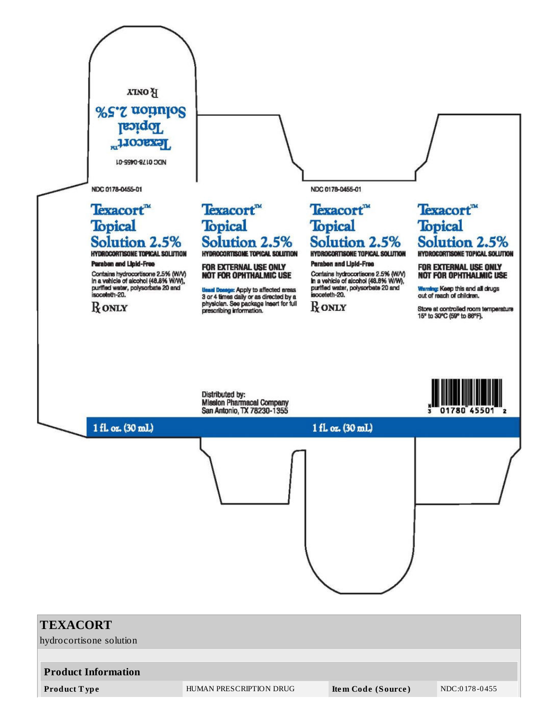

**Product Type** 

HUMAN PRESCRIPTION DRUG

Item Code (Source)

NDC:0178-0455